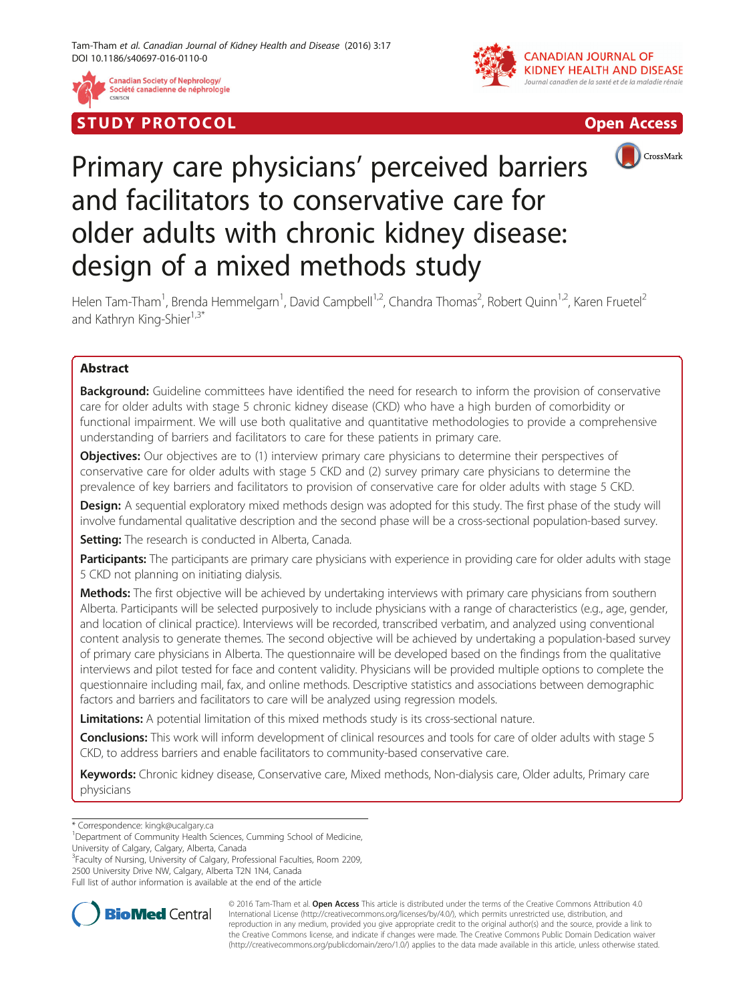

**SEX TUDY PROTOCOL SEXUAL SEXUAL SEXUAL SEXUAL SEXUAL SEXUAL SEXUAL SEXUAL SEXUAL SEXUAL SEXUAL SEXUAL SEXUAL** 





# Primary care physicians' perceived barriers and facilitators to conservative care for older adults with chronic kidney disease: design of a mixed methods study

Helen Tam-Tham<sup>1</sup>, Brenda Hemmelgarn<sup>1</sup>, David Campbell<sup>1,2</sup>, Chandra Thomas<sup>2</sup>, Robert Quinn<sup>1,2</sup>, Karen Fruetel<sup>2</sup> and Kathryn King-Shier<sup>1,3\*</sup>

# Abstract

**Background:** Guideline committees have identified the need for research to inform the provision of conservative care for older adults with stage 5 chronic kidney disease (CKD) who have a high burden of comorbidity or functional impairment. We will use both qualitative and quantitative methodologies to provide a comprehensive understanding of barriers and facilitators to care for these patients in primary care.

**Objectives:** Our objectives are to (1) interview primary care physicians to determine their perspectives of conservative care for older adults with stage 5 CKD and (2) survey primary care physicians to determine the prevalence of key barriers and facilitators to provision of conservative care for older adults with stage 5 CKD.

Design: A sequential exploratory mixed methods design was adopted for this study. The first phase of the study will involve fundamental qualitative description and the second phase will be a cross-sectional population-based survey.

Setting: The research is conducted in Alberta, Canada.

Participants: The participants are primary care physicians with experience in providing care for older adults with stage 5 CKD not planning on initiating dialysis.

Methods: The first objective will be achieved by undertaking interviews with primary care physicians from southern Alberta. Participants will be selected purposively to include physicians with a range of characteristics (e.g., age, gender, and location of clinical practice). Interviews will be recorded, transcribed verbatim, and analyzed using conventional content analysis to generate themes. The second objective will be achieved by undertaking a population-based survey of primary care physicians in Alberta. The questionnaire will be developed based on the findings from the qualitative interviews and pilot tested for face and content validity. Physicians will be provided multiple options to complete the questionnaire including mail, fax, and online methods. Descriptive statistics and associations between demographic factors and barriers and facilitators to care will be analyzed using regression models.

Limitations: A potential limitation of this mixed methods study is its cross-sectional nature.

Conclusions: This work will inform development of clinical resources and tools for care of older adults with stage 5 CKD, to address barriers and enable facilitators to community-based conservative care.

Keywords: Chronic kidney disease, Conservative care, Mixed methods, Non-dialysis care, Older adults, Primary care physicians

\* Correspondence: [kingk@ucalgary.ca](mailto:kingk@ucalgary.ca) <sup>1</sup>

<sup>3</sup> Faculty of Nursing, University of Calgary, Professional Faculties, Room 2209,

2500 University Drive NW, Calgary, Alberta T2N 1N4, Canada

Full list of author information is available at the end of the article



© 2016 Tam-Tham et al. Open Access This article is distributed under the terms of the Creative Commons Attribution 4.0 International License [\(http://creativecommons.org/licenses/by/4.0/](http://creativecommons.org/licenses/by/4.0/)), which permits unrestricted use, distribution, and reproduction in any medium, provided you give appropriate credit to the original author(s) and the source, provide a link to the Creative Commons license, and indicate if changes were made. The Creative Commons Public Domain Dedication waiver [\(http://creativecommons.org/publicdomain/zero/1.0/](http://creativecommons.org/publicdomain/zero/1.0/)) applies to the data made available in this article, unless otherwise stated.

<sup>&</sup>lt;sup>1</sup>Department of Community Health Sciences, Cumming School of Medicine, University of Calgary, Calgary, Alberta, Canada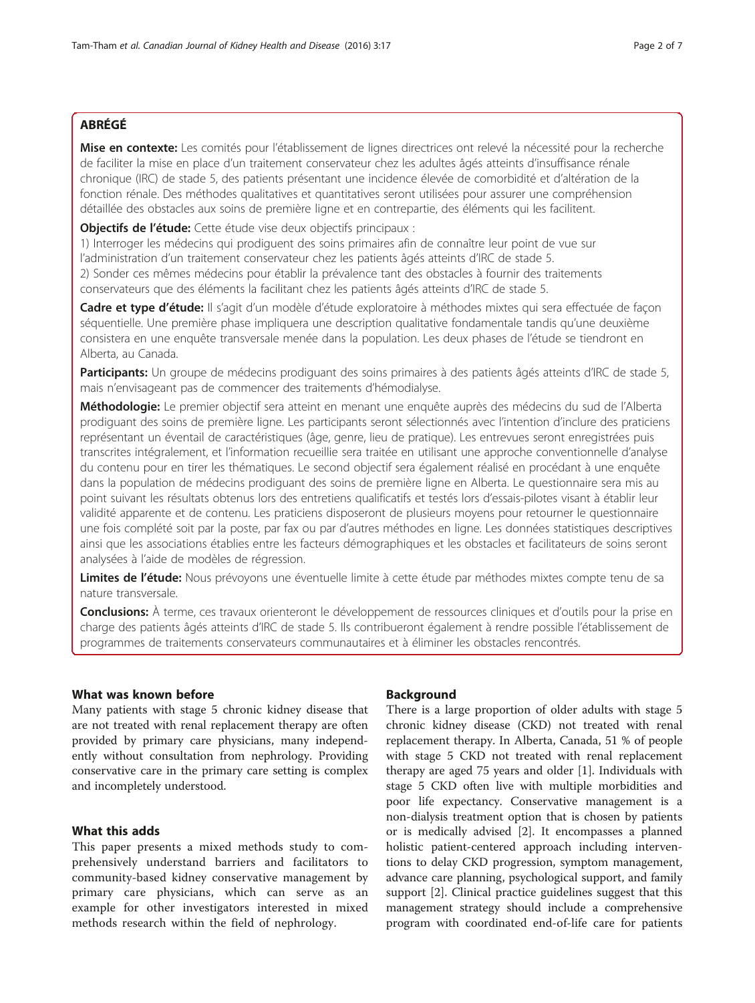# ABRÉGÉ

Mise en contexte: Les comités pour l'établissement de lignes directrices ont relevé la nécessité pour la recherche de faciliter la mise en place d'un traitement conservateur chez les adultes âgés atteints d'insuffisance rénale chronique (IRC) de stade 5, des patients présentant une incidence élevée de comorbidité et d'altération de la fonction rénale. Des méthodes qualitatives et quantitatives seront utilisées pour assurer une compréhension détaillée des obstacles aux soins de première ligne et en contrepartie, des éléments qui les facilitent.

Objectifs de l'étude: Cette étude vise deux objectifs principaux :

1) Interroger les médecins qui prodiguent des soins primaires afin de connaître leur point de vue sur l'administration d'un traitement conservateur chez les patients âgés atteints d'IRC de stade 5. 2) Sonder ces mêmes médecins pour établir la prévalence tant des obstacles à fournir des traitements conservateurs que des éléments la facilitant chez les patients âgés atteints d'IRC de stade 5.

Cadre et type d'étude: Il s'agit d'un modèle d'étude exploratoire à méthodes mixtes qui sera effectuée de facon séquentielle. Une première phase impliquera une description qualitative fondamentale tandis qu'une deuxième consistera en une enquête transversale menée dans la population. Les deux phases de l'étude se tiendront en Alberta, au Canada.

Participants: Un groupe de médecins prodiguant des soins primaires à des patients âgés atteints d'IRC de stade 5, mais n'envisageant pas de commencer des traitements d'hémodialyse.

Méthodologie: Le premier objectif sera atteint en menant une enquête auprès des médecins du sud de l'Alberta prodiguant des soins de première ligne. Les participants seront sélectionnés avec l'intention d'inclure des praticiens représentant un éventail de caractéristiques (âge, genre, lieu de pratique). Les entrevues seront enregistrées puis transcrites intégralement, et l'information recueillie sera traitée en utilisant une approche conventionnelle d'analyse du contenu pour en tirer les thématiques. Le second objectif sera également réalisé en procédant à une enquête dans la population de médecins prodiguant des soins de première ligne en Alberta. Le questionnaire sera mis au point suivant les résultats obtenus lors des entretiens qualificatifs et testés lors d'essais-pilotes visant à établir leur validité apparente et de contenu. Les praticiens disposeront de plusieurs moyens pour retourner le questionnaire une fois complété soit par la poste, par fax ou par d'autres méthodes en ligne. Les données statistiques descriptives ainsi que les associations établies entre les facteurs démographiques et les obstacles et facilitateurs de soins seront analysées à l'aide de modèles de régression.

Limites de l'étude: Nous prévoyons une éventuelle limite à cette étude par méthodes mixtes compte tenu de sa nature transversale.

Conclusions: À terme, ces travaux orienteront le développement de ressources cliniques et d'outils pour la prise en charge des patients âgés atteints d'IRC de stade 5. Ils contribueront également à rendre possible l'établissement de programmes de traitements conservateurs communautaires et à éliminer les obstacles rencontrés.

# What was known before

Many patients with stage 5 chronic kidney disease that are not treated with renal replacement therapy are often provided by primary care physicians, many independently without consultation from nephrology. Providing conservative care in the primary care setting is complex and incompletely understood.

# What this adds

This paper presents a mixed methods study to comprehensively understand barriers and facilitators to community-based kidney conservative management by primary care physicians, which can serve as an example for other investigators interested in mixed methods research within the field of nephrology.

#### Background

There is a large proportion of older adults with stage 5 chronic kidney disease (CKD) not treated with renal replacement therapy. In Alberta, Canada, 51 % of people with stage 5 CKD not treated with renal replacement therapy are aged 75 years and older [\[1\]](#page-6-0). Individuals with stage 5 CKD often live with multiple morbidities and poor life expectancy. Conservative management is a non-dialysis treatment option that is chosen by patients or is medically advised [[2\]](#page-6-0). It encompasses a planned holistic patient-centered approach including interventions to delay CKD progression, symptom management, advance care planning, psychological support, and family support [[2\]](#page-6-0). Clinical practice guidelines suggest that this management strategy should include a comprehensive program with coordinated end-of-life care for patients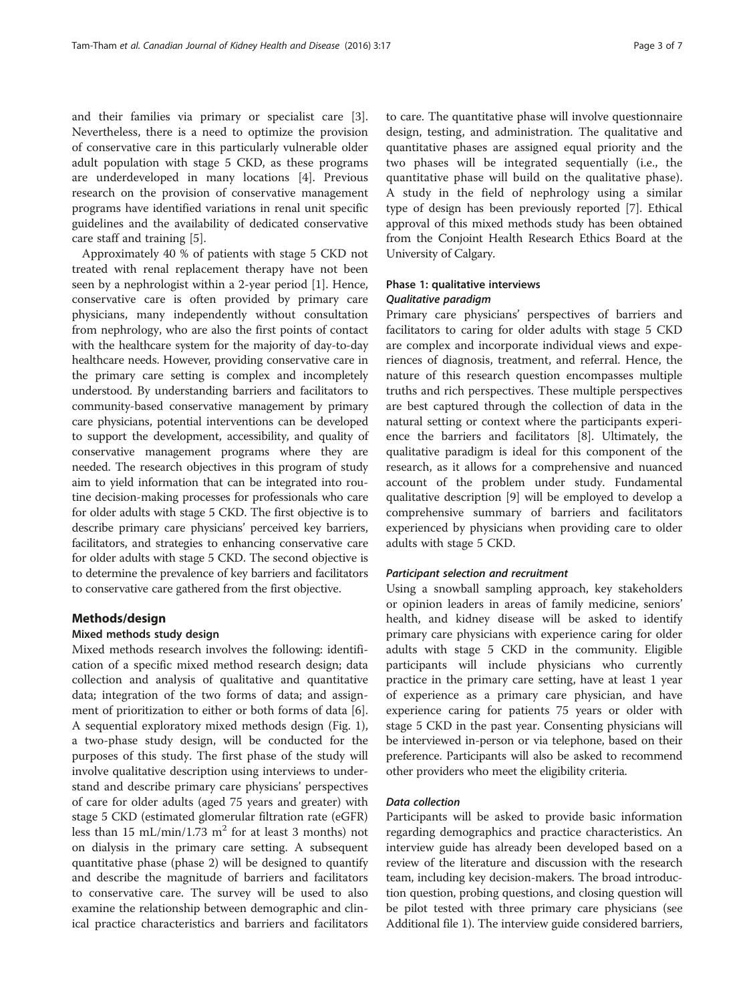and their families via primary or specialist care [\[3](#page-6-0)]. Nevertheless, there is a need to optimize the provision of conservative care in this particularly vulnerable older adult population with stage 5 CKD, as these programs are underdeveloped in many locations [[4](#page-6-0)]. Previous research on the provision of conservative management programs have identified variations in renal unit specific guidelines and the availability of dedicated conservative care staff and training [[5](#page-6-0)].

Approximately 40 % of patients with stage 5 CKD not treated with renal replacement therapy have not been seen by a nephrologist within a 2-year period [[1\]](#page-6-0). Hence, conservative care is often provided by primary care physicians, many independently without consultation from nephrology, who are also the first points of contact with the healthcare system for the majority of day-to-day healthcare needs. However, providing conservative care in the primary care setting is complex and incompletely understood. By understanding barriers and facilitators to community-based conservative management by primary care physicians, potential interventions can be developed to support the development, accessibility, and quality of conservative management programs where they are needed. The research objectives in this program of study aim to yield information that can be integrated into routine decision-making processes for professionals who care for older adults with stage 5 CKD. The first objective is to describe primary care physicians' perceived key barriers, facilitators, and strategies to enhancing conservative care for older adults with stage 5 CKD. The second objective is to determine the prevalence of key barriers and facilitators to conservative care gathered from the first objective.

# Methods/design

# Mixed methods study design

Mixed methods research involves the following: identification of a specific mixed method research design; data collection and analysis of qualitative and quantitative data; integration of the two forms of data; and assignment of prioritization to either or both forms of data [\[6](#page-6-0)]. A sequential exploratory mixed methods design (Fig. [1](#page-3-0)), a two-phase study design, will be conducted for the purposes of this study. The first phase of the study will involve qualitative description using interviews to understand and describe primary care physicians' perspectives of care for older adults (aged 75 years and greater) with stage 5 CKD (estimated glomerular filtration rate (eGFR) less than 15 mL/min/1.73 m<sup>2</sup> for at least 3 months) not on dialysis in the primary care setting. A subsequent quantitative phase (phase 2) will be designed to quantify and describe the magnitude of barriers and facilitators to conservative care. The survey will be used to also examine the relationship between demographic and clinical practice characteristics and barriers and facilitators to care. The quantitative phase will involve questionnaire design, testing, and administration. The qualitative and quantitative phases are assigned equal priority and the two phases will be integrated sequentially (i.e., the quantitative phase will build on the qualitative phase). A study in the field of nephrology using a similar type of design has been previously reported [[7\]](#page-6-0). Ethical approval of this mixed methods study has been obtained from the Conjoint Health Research Ethics Board at the University of Calgary.

# Phase 1: qualitative interviews Qualitative paradigm

Primary care physicians' perspectives of barriers and facilitators to caring for older adults with stage 5 CKD are complex and incorporate individual views and experiences of diagnosis, treatment, and referral. Hence, the nature of this research question encompasses multiple truths and rich perspectives. These multiple perspectives are best captured through the collection of data in the natural setting or context where the participants experience the barriers and facilitators [[8\]](#page-6-0). Ultimately, the qualitative paradigm is ideal for this component of the research, as it allows for a comprehensive and nuanced account of the problem under study. Fundamental qualitative description [\[9](#page-6-0)] will be employed to develop a comprehensive summary of barriers and facilitators experienced by physicians when providing care to older adults with stage 5 CKD.

#### Participant selection and recruitment

Using a snowball sampling approach, key stakeholders or opinion leaders in areas of family medicine, seniors' health, and kidney disease will be asked to identify primary care physicians with experience caring for older adults with stage 5 CKD in the community. Eligible participants will include physicians who currently practice in the primary care setting, have at least 1 year of experience as a primary care physician, and have experience caring for patients 75 years or older with stage 5 CKD in the past year. Consenting physicians will be interviewed in-person or via telephone, based on their preference. Participants will also be asked to recommend other providers who meet the eligibility criteria.

#### Data collection

Participants will be asked to provide basic information regarding demographics and practice characteristics. An interview guide has already been developed based on a review of the literature and discussion with the research team, including key decision-makers. The broad introduction question, probing questions, and closing question will be pilot tested with three primary care physicians (see Additional file [1](#page-5-0)). The interview guide considered barriers,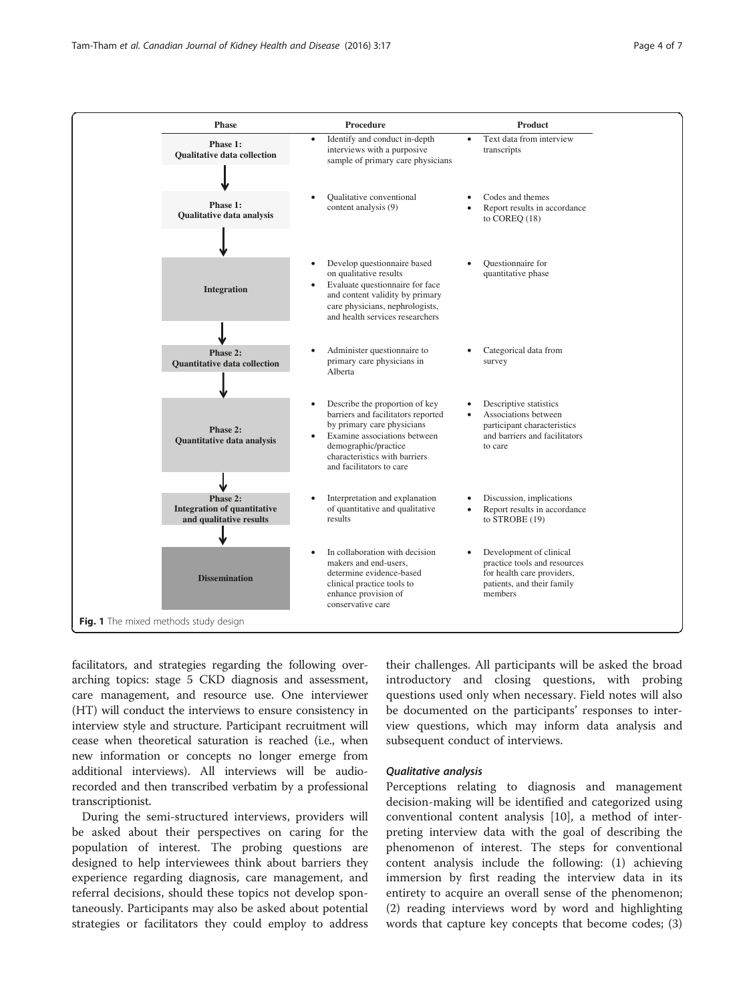<span id="page-3-0"></span>

facilitators, and strategies regarding the following overarching topics: stage 5 CKD diagnosis and assessment, care management, and resource use. One interviewer (HT) will conduct the interviews to ensure consistency in interview style and structure. Participant recruitment will cease when theoretical saturation is reached (i.e., when new information or concepts no longer emerge from additional interviews). All interviews will be audiorecorded and then transcribed verbatim by a professional transcriptionist.

During the semi-structured interviews, providers will be asked about their perspectives on caring for the population of interest. The probing questions are designed to help interviewees think about barriers they experience regarding diagnosis, care management, and referral decisions, should these topics not develop spontaneously. Participants may also be asked about potential strategies or facilitators they could employ to address their challenges. All participants will be asked the broad introductory and closing questions, with probing questions used only when necessary. Field notes will also be documented on the participants' responses to interview questions, which may inform data analysis and subsequent conduct of interviews.

## Qualitative analysis

Perceptions relating to diagnosis and management decision-making will be identified and categorized using conventional content analysis [\[10](#page-6-0)], a method of interpreting interview data with the goal of describing the phenomenon of interest. The steps for conventional content analysis include the following: (1) achieving immersion by first reading the interview data in its entirety to acquire an overall sense of the phenomenon; (2) reading interviews word by word and highlighting words that capture key concepts that become codes; (3)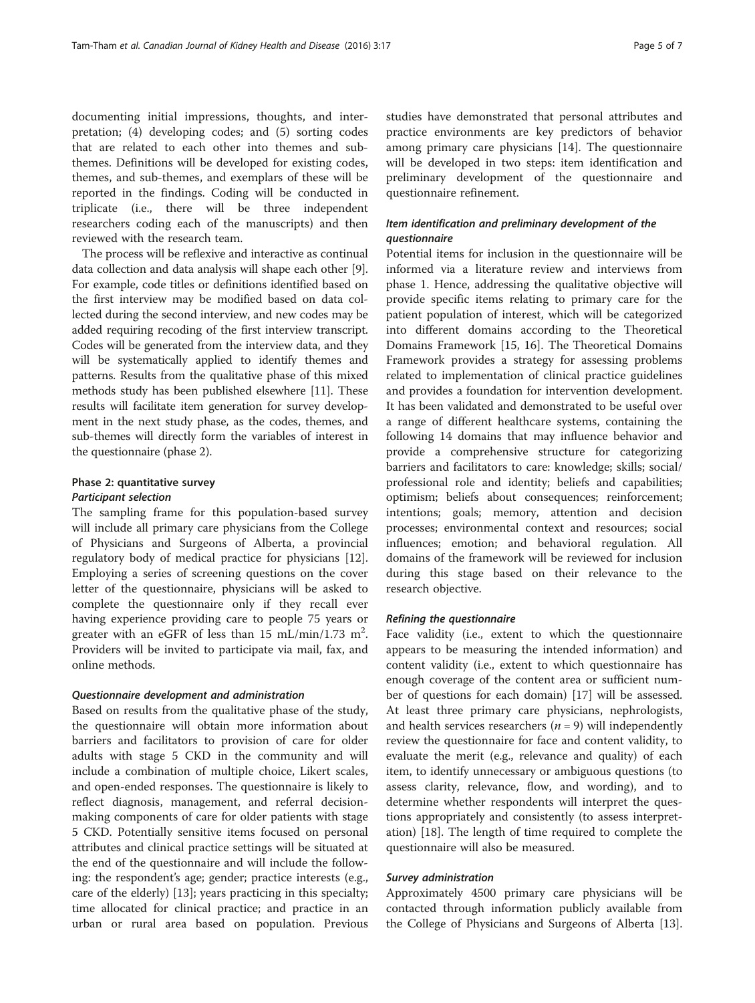documenting initial impressions, thoughts, and interpretation; (4) developing codes; and (5) sorting codes that are related to each other into themes and subthemes. Definitions will be developed for existing codes, themes, and sub-themes, and exemplars of these will be reported in the findings. Coding will be conducted in triplicate (i.e., there will be three independent researchers coding each of the manuscripts) and then reviewed with the research team.

The process will be reflexive and interactive as continual data collection and data analysis will shape each other [[9](#page-6-0)]. For example, code titles or definitions identified based on the first interview may be modified based on data collected during the second interview, and new codes may be added requiring recoding of the first interview transcript. Codes will be generated from the interview data, and they will be systematically applied to identify themes and patterns. Results from the qualitative phase of this mixed methods study has been published elsewhere [\[11\]](#page-6-0). These results will facilitate item generation for survey development in the next study phase, as the codes, themes, and sub-themes will directly form the variables of interest in the questionnaire (phase 2).

# Phase 2: quantitative survey Participant selection

The sampling frame for this population-based survey will include all primary care physicians from the College of Physicians and Surgeons of Alberta, a provincial regulatory body of medical practice for physicians [\[12](#page-6-0)]. Employing a series of screening questions on the cover letter of the questionnaire, physicians will be asked to complete the questionnaire only if they recall ever having experience providing care to people 75 years or greater with an eGFR of less than  $15 \text{ mL/min}/1.73 \text{ m}^2$ . Providers will be invited to participate via mail, fax, and online methods.

# Questionnaire development and administration

Based on results from the qualitative phase of the study, the questionnaire will obtain more information about barriers and facilitators to provision of care for older adults with stage 5 CKD in the community and will include a combination of multiple choice, Likert scales, and open-ended responses. The questionnaire is likely to reflect diagnosis, management, and referral decisionmaking components of care for older patients with stage 5 CKD. Potentially sensitive items focused on personal attributes and clinical practice settings will be situated at the end of the questionnaire and will include the following: the respondent's age; gender; practice interests (e.g., care of the elderly) [[13](#page-6-0)]; years practicing in this specialty; time allocated for clinical practice; and practice in an urban or rural area based on population. Previous

studies have demonstrated that personal attributes and practice environments are key predictors of behavior among primary care physicians [\[14](#page-6-0)]. The questionnaire will be developed in two steps: item identification and preliminary development of the questionnaire and questionnaire refinement.

# Item identification and preliminary development of the questionnaire

Potential items for inclusion in the questionnaire will be informed via a literature review and interviews from phase 1. Hence, addressing the qualitative objective will provide specific items relating to primary care for the patient population of interest, which will be categorized into different domains according to the Theoretical Domains Framework [\[15, 16\]](#page-6-0). The Theoretical Domains Framework provides a strategy for assessing problems related to implementation of clinical practice guidelines and provides a foundation for intervention development. It has been validated and demonstrated to be useful over a range of different healthcare systems, containing the following 14 domains that may influence behavior and provide a comprehensive structure for categorizing barriers and facilitators to care: knowledge; skills; social/ professional role and identity; beliefs and capabilities; optimism; beliefs about consequences; reinforcement; intentions; goals; memory, attention and decision processes; environmental context and resources; social influences; emotion; and behavioral regulation. All domains of the framework will be reviewed for inclusion during this stage based on their relevance to the research objective.

#### Refining the questionnaire

Face validity (i.e., extent to which the questionnaire appears to be measuring the intended information) and content validity (i.e., extent to which questionnaire has enough coverage of the content area or sufficient number of questions for each domain) [[17](#page-6-0)] will be assessed. At least three primary care physicians, nephrologists, and health services researchers ( $n = 9$ ) will independently review the questionnaire for face and content validity, to evaluate the merit (e.g., relevance and quality) of each item, to identify unnecessary or ambiguous questions (to assess clarity, relevance, flow, and wording), and to determine whether respondents will interpret the questions appropriately and consistently (to assess interpretation) [\[18\]](#page-6-0). The length of time required to complete the questionnaire will also be measured.

# Survey administration

Approximately 4500 primary care physicians will be contacted through information publicly available from the College of Physicians and Surgeons of Alberta [\[13](#page-6-0)].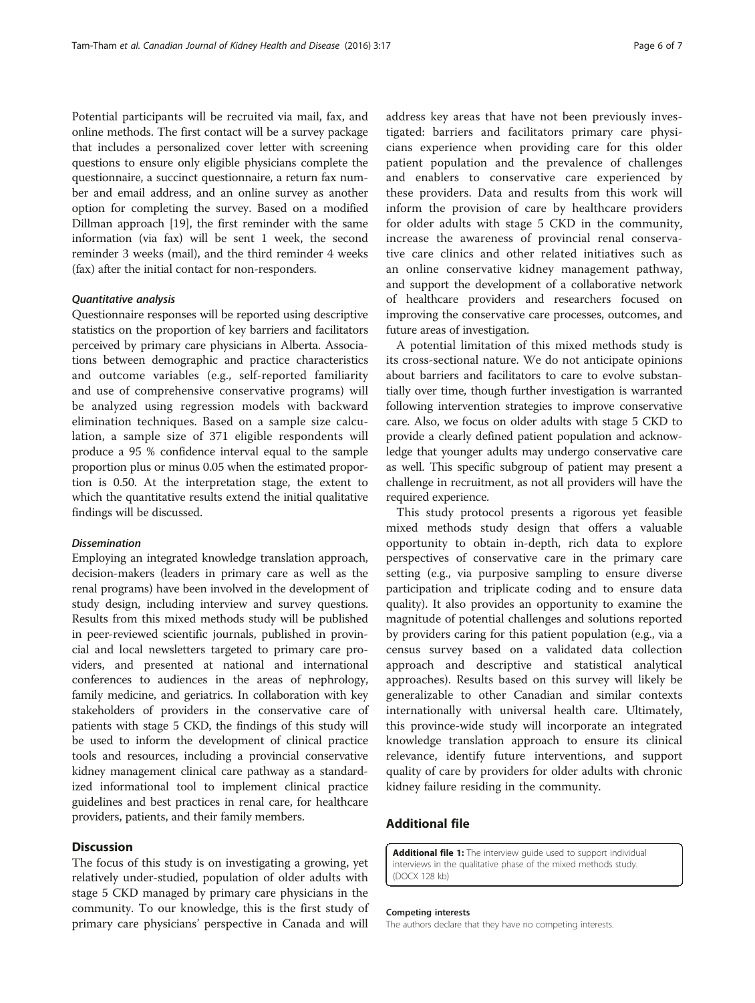<span id="page-5-0"></span>Potential participants will be recruited via mail, fax, and online methods. The first contact will be a survey package that includes a personalized cover letter with screening questions to ensure only eligible physicians complete the questionnaire, a succinct questionnaire, a return fax number and email address, and an online survey as another option for completing the survey. Based on a modified Dillman approach [[19](#page-6-0)], the first reminder with the same information (via fax) will be sent 1 week, the second reminder 3 weeks (mail), and the third reminder 4 weeks (fax) after the initial contact for non-responders.

#### Quantitative analysis

Questionnaire responses will be reported using descriptive statistics on the proportion of key barriers and facilitators perceived by primary care physicians in Alberta. Associations between demographic and practice characteristics and outcome variables (e.g., self-reported familiarity and use of comprehensive conservative programs) will be analyzed using regression models with backward elimination techniques. Based on a sample size calculation, a sample size of 371 eligible respondents will produce a 95 % confidence interval equal to the sample proportion plus or minus 0.05 when the estimated proportion is 0.50. At the interpretation stage, the extent to which the quantitative results extend the initial qualitative findings will be discussed.

#### **Dissemination**

Employing an integrated knowledge translation approach, decision-makers (leaders in primary care as well as the renal programs) have been involved in the development of study design, including interview and survey questions. Results from this mixed methods study will be published in peer-reviewed scientific journals, published in provincial and local newsletters targeted to primary care providers, and presented at national and international conferences to audiences in the areas of nephrology, family medicine, and geriatrics. In collaboration with key stakeholders of providers in the conservative care of patients with stage 5 CKD, the findings of this study will be used to inform the development of clinical practice tools and resources, including a provincial conservative kidney management clinical care pathway as a standardized informational tool to implement clinical practice guidelines and best practices in renal care, for healthcare providers, patients, and their family members.

## Discussion

The focus of this study is on investigating a growing, yet relatively under-studied, population of older adults with stage 5 CKD managed by primary care physicians in the community. To our knowledge, this is the first study of primary care physicians' perspective in Canada and will

address key areas that have not been previously investigated: barriers and facilitators primary care physicians experience when providing care for this older patient population and the prevalence of challenges and enablers to conservative care experienced by these providers. Data and results from this work will inform the provision of care by healthcare providers for older adults with stage 5 CKD in the community, increase the awareness of provincial renal conservative care clinics and other related initiatives such as an online conservative kidney management pathway, and support the development of a collaborative network of healthcare providers and researchers focused on improving the conservative care processes, outcomes, and future areas of investigation.

A potential limitation of this mixed methods study is its cross-sectional nature. We do not anticipate opinions about barriers and facilitators to care to evolve substantially over time, though further investigation is warranted following intervention strategies to improve conservative care. Also, we focus on older adults with stage 5 CKD to provide a clearly defined patient population and acknowledge that younger adults may undergo conservative care as well. This specific subgroup of patient may present a challenge in recruitment, as not all providers will have the required experience.

This study protocol presents a rigorous yet feasible mixed methods study design that offers a valuable opportunity to obtain in-depth, rich data to explore perspectives of conservative care in the primary care setting (e.g., via purposive sampling to ensure diverse participation and triplicate coding and to ensure data quality). It also provides an opportunity to examine the magnitude of potential challenges and solutions reported by providers caring for this patient population (e.g., via a census survey based on a validated data collection approach and descriptive and statistical analytical approaches). Results based on this survey will likely be generalizable to other Canadian and similar contexts internationally with universal health care. Ultimately, this province-wide study will incorporate an integrated knowledge translation approach to ensure its clinical relevance, identify future interventions, and support quality of care by providers for older adults with chronic kidney failure residing in the community.

# Additional file

[Additional file 1:](dx.doi.org/10.1186/s40697-016-0110-0) The interview quide used to support individual interviews in the qualitative phase of the mixed methods study. (DOCX 128 kb)

#### Competing interests

The authors declare that they have no competing interests.